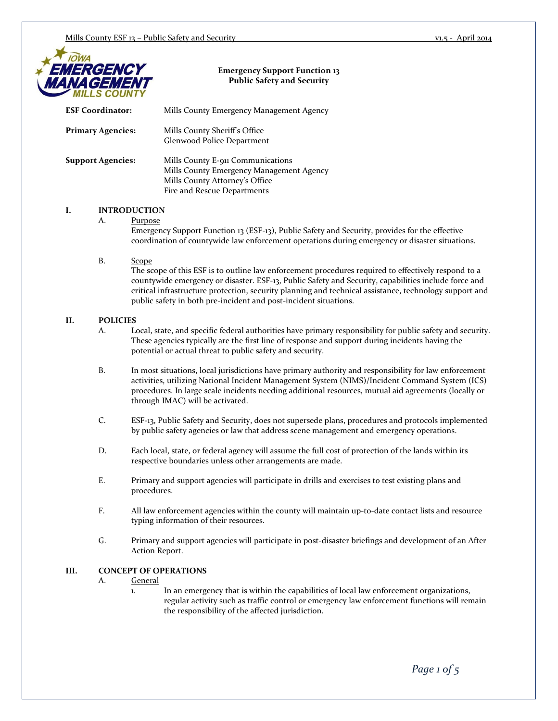

## **Emergency Support Function 13 Public Safety and Security**

| <b>ESF Coordinator:</b>         | Mills County Emergency Management Agency                                                                                                                                                                    |  |
|---------------------------------|-------------------------------------------------------------------------------------------------------------------------------------------------------------------------------------------------------------|--|
| <b>Primary Agencies:</b>        | Mills County Sheriff's Office<br>Glenwood Police Department                                                                                                                                                 |  |
| <b>Support Agencies:</b>        | Mills County E-911 Communications<br>Mills County Emergency Management Agency<br>Mills County Attorney's Office<br>Fire and Rescue Departments                                                              |  |
| I.<br><b>INTRODUCTION</b><br>А. | Purpose<br>Emergency Support Function 13 (ESF-13), Public Safety and Security, provides for the effective<br>coordination of countywide law enforcement operations during emergency or disaster situations. |  |

## B. Scope

The scope of this ESF is to outline law enforcement procedures required to effectively respond to a countywide emergency or disaster. ESF-13, Public Safety and Security, capabilities include force and critical infrastructure protection, security planning and technical assistance, technology support and public safety in both pre-incident and post-incident situations.

### **II. POLICIES**

- A. Local, state, and specific federal authorities have primary responsibility for public safety and security. These agencies typically are the first line of response and support during incidents having the potential or actual threat to public safety and security.
- B. In most situations, local jurisdictions have primary authority and responsibility for law enforcement activities, utilizing National Incident Management System (NIMS)/Incident Command System (ICS) procedures. In large scale incidents needing additional resources, mutual aid agreements (locally or through IMAC) will be activated.
- C. ESF-13, Public Safety and Security, does not supersede plans, procedures and protocols implemented by public safety agencies or law that address scene management and emergency operations.
- D. Each local, state, or federal agency will assume the full cost of protection of the lands within its respective boundaries unless other arrangements are made.
- E. Primary and support agencies will participate in drills and exercises to test existing plans and procedures.
- F. All law enforcement agencies within the county will maintain up-to-date contact lists and resource typing information of their resources.
- G. Primary and support agencies will participate in post-disaster briefings and development of an After Action Report.

### **III. CONCEPT OF OPERATIONS**

- A. General
	- 1. In an emergency that is within the capabilities of local law enforcement organizations, regular activity such as traffic control or emergency law enforcement functions will remain the responsibility of the affected jurisdiction.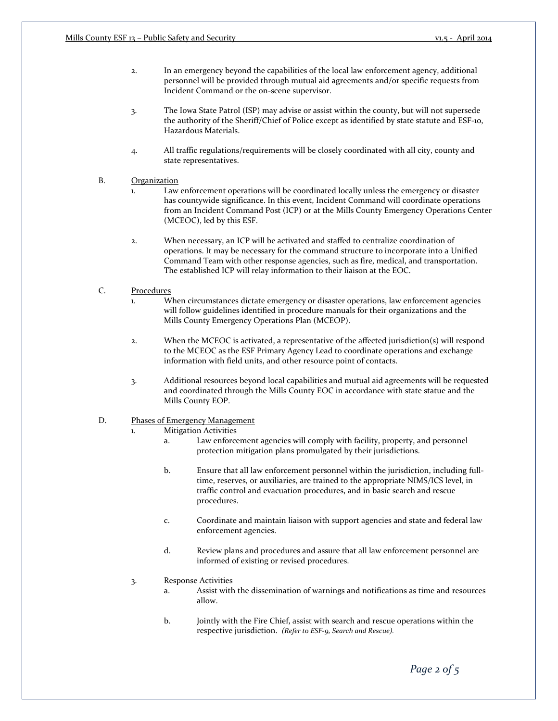- 2. In an emergency beyond the capabilities of the local law enforcement agency, additional personnel will be provided through mutual aid agreements and/or specific requests from Incident Command or the on-scene supervisor.
- 3. The Iowa State Patrol (ISP) may advise or assist within the county, but will not supersede the authority of the Sheriff/Chief of Police except as identified by state statute and ESF-10, Hazardous Materials.
- 4. All traffic regulations/requirements will be closely coordinated with all city, county and state representatives.

#### B. Organization

- 1. Law enforcement operations will be coordinated locally unless the emergency or disaster has countywide significance. In this event, Incident Command will coordinate operations from an Incident Command Post (ICP) or at the Mills County Emergency Operations Center (MCEOC), led by this ESF.
- 2. When necessary, an ICP will be activated and staffed to centralize coordination of operations. It may be necessary for the command structure to incorporate into a Unified Command Team with other response agencies, such as fire, medical, and transportation. The established ICP will relay information to their liaison at the EOC.

### C. Procedures

- 1. When circumstances dictate emergency or disaster operations, law enforcement agencies will follow guidelines identified in procedure manuals for their organizations and the Mills County Emergency Operations Plan (MCEOP).
- 2. When the MCEOC is activated, a representative of the affected jurisdiction(s) will respond to the MCEOC as the ESF Primary Agency Lead to coordinate operations and exchange information with field units, and other resource point of contacts.
- 3. Additional resources beyond local capabilities and mutual aid agreements will be requested and coordinated through the Mills County EOC in accordance with state statue and the Mills County EOP.

## D. Phases of Emergency Management

- 1. Mitigation Activities
	- a. Law enforcement agencies will comply with facility, property, and personnel protection mitigation plans promulgated by their jurisdictions.
	- b. Ensure that all law enforcement personnel within the jurisdiction, including fulltime, reserves, or auxiliaries, are trained to the appropriate NIMS/ICS level, in traffic control and evacuation procedures, and in basic search and rescue procedures.
	- c. Coordinate and maintain liaison with support agencies and state and federal law enforcement agencies.
	- d. Review plans and procedures and assure that all law enforcement personnel are informed of existing or revised procedures.
- 3. Response Activities
	- a. Assist with the dissemination of warnings and notifications as time and resources allow.
	- b. Jointly with the Fire Chief, assist with search and rescue operations within the respective jurisdiction. *(Refer to ESF-9, Search and Rescue).*

*Page 2 of 5*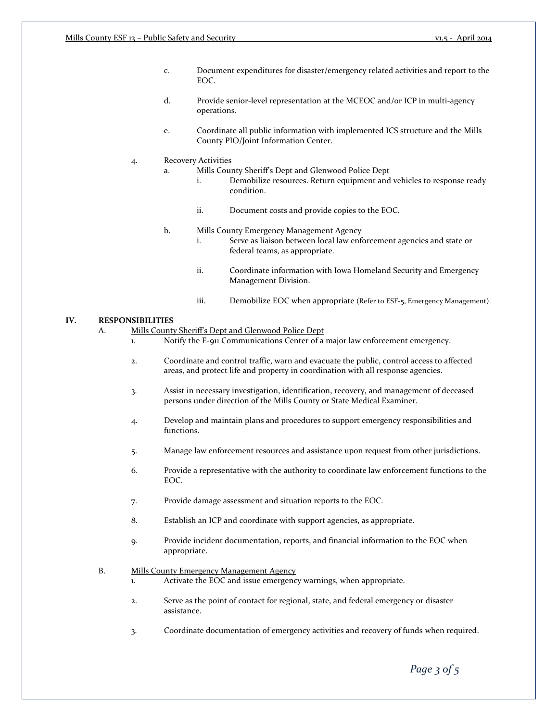- c. Document expenditures for disaster/emergency related activities and report to the EOC.
- d. Provide senior-level representation at the MCEOC and/or ICP in multi-agency operations.
- e. Coordinate all public information with implemented ICS structure and the Mills County PIO/Joint Information Center.

#### 4. Recovery Activities

- a. Mills County Sheriff's Dept and Glenwood Police Dept
	- i. Demobilize resources. Return equipment and vehicles to response ready condition.
	- ii. Document costs and provide copies to the EOC.
- b. Mills County Emergency Management Agency
	- i. Serve as liaison between local law enforcement agencies and state or federal teams, as appropriate.
	- ii. Coordinate information with Iowa Homeland Security and Emergency Management Division.
	- iii. Demobilize EOC when appropriate (Refer to ESF-5, Emergency Management).

## **IV. RESPONSIBILITIES**

A. Mills County Sheriff's Dept and Glenwood Police Dept

- 1. Notify the E-911 Communications Center of a major law enforcement emergency.
	- 2. Coordinate and control traffic, warn and evacuate the public, control access to affected areas, and protect life and property in coordination with all response agencies.
	- 3. Assist in necessary investigation, identification, recovery, and management of deceased persons under direction of the Mills County or State Medical Examiner.
	- 4. Develop and maintain plans and procedures to support emergency responsibilities and functions.
	- 5. Manage law enforcement resources and assistance upon request from other jurisdictions.
	- 6. Provide a representative with the authority to coordinate law enforcement functions to the EOC.
	- 7. Provide damage assessment and situation reports to the EOC.
	- 8. Establish an ICP and coordinate with support agencies, as appropriate.
	- 9. Provide incident documentation, reports, and financial information to the EOC when appropriate.

## B. Mills County Emergency Management Agency

- 1. Activate the EOC and issue emergency warnings, when appropriate.
- 2. Serve as the point of contact for regional, state, and federal emergency or disaster assistance.
- 3. Coordinate documentation of emergency activities and recovery of funds when required.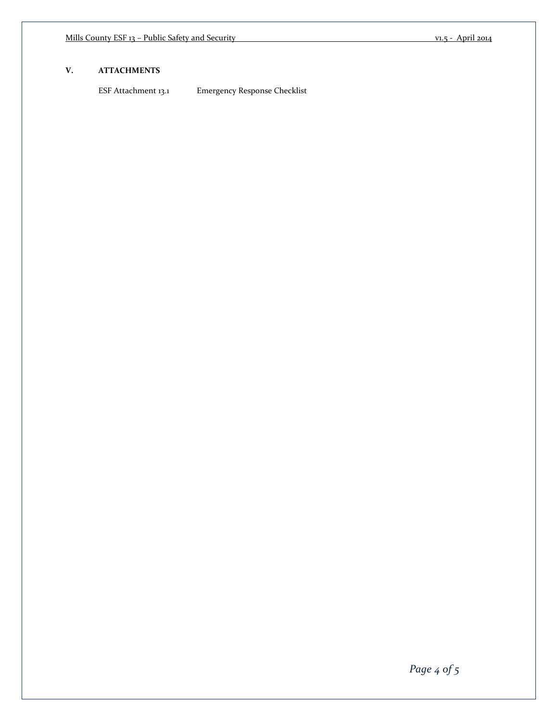## **V. ATTACHMENTS**

ESF Attachment 13.1 Emergency Response Checklist